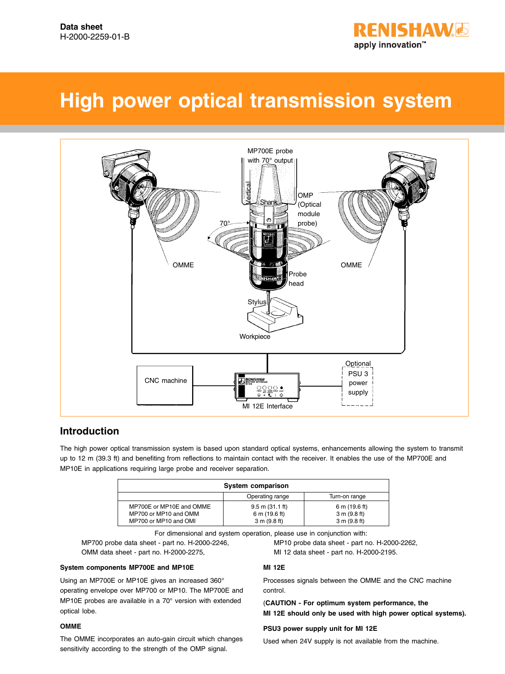

# **High power optical transmission system**



# **Introduction**

The high power optical transmission system is based upon standard optical systems, enhancements allowing the system to transmit up to 12 m (39.3 ft) and benefiting from reflections to maintain contact with the receiver. It enables the use of the MP700E and MP10E in applications requiring large probe and receiver separation.

| System comparison                                 |                                                    |                               |  |  |  |
|---------------------------------------------------|----------------------------------------------------|-------------------------------|--|--|--|
|                                                   | Operating range                                    | Turn-on range                 |  |  |  |
| MP700E or MP10E and OMME<br>MP700 or MP10 and OMM | $9.5 \text{ m} (31.1 \text{ ft})$<br>6 m (19.6 ft) | 6 m (19.6 ft)<br>3 m (9.8 ft) |  |  |  |
| MP700 or MP10 and OMI                             | 3 m (9.8 ft)                                       | 3 m (9.8 ft)                  |  |  |  |

For dimensional and system operation, please use in conjunction with:

MP700 probe data sheet - part no. H-2000-2246, MP10 probe data sheet - part no. H-2000-2262, OMM data sheet - part no. H-2000-2275, MI 12 data sheet - part no. H-2000-2195.

### **System components MP700E and MP10E**

Using an MP700E or MP10E gives an increased 360° operating envelope over MP700 or MP10. The MP700E and MP10E probes are available in a 70° version with extended optical lobe.

#### **OMME**

The OMME incorporates an auto-gain circuit which changes sensitivity according to the strength of the OMP signal.

## **MI 12E**

Processes signals between the OMME and the CNC machine control.

(**CAUTION - For optimum system performance, the MI 12E should only be used with high power optical systems).**

#### **PSU3 power supply unit for MI 12E**

Used when 24V supply is not available from the machine.